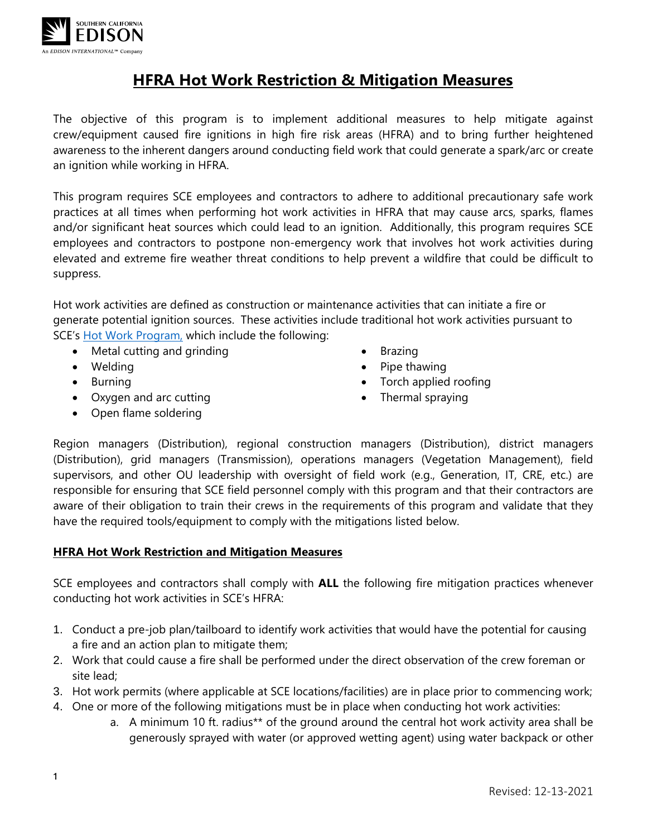

# **HFRA Hot Work Restriction & Mitigation Measures**

The objective of this program is to implement additional measures to help mitigate against crew/equipment caused fire ignitions in high fire risk areas (HFRA) and to bring further heightened awareness to the inherent dangers around conducting field work that could generate a spark/arc or create an ignition while working in HFRA.

This program requires SCE employees and contractors to adhere to additional precautionary safe work practices at all times when performing hot work activities in HFRA that may cause arcs, sparks, flames and/or significant heat sources which could lead to an ignition. Additionally, this program requires SCE employees and contractors to postpone non-emergency work that involves hot work activities during elevated and extreme fire weather threat conditions to help prevent a wildfire that could be difficult to suppress.

Hot work activities are defined as construction or maintenance activities that can initiate a fire or generate potential ignition sources. These activities include traditional hot work activities pursuant to SCE's [Hot Work Program,](https://edisonintl.sharepoint.com/Safety/Documents/Forms/AllItems.aspx?id=%2FSafety%2FDocuments%2FHot%20Work%20v1%2E0%2Epdf&parent=%2FSafety%2FDocuments) which include the following:

- Metal cutting and grinding
- Welding
- Burning
- Oxygen and arc cutting
- Open flame soldering
- Brazing
- Pipe thawing
- Torch applied roofing
- Thermal spraying

Region managers (Distribution), regional construction managers (Distribution), district managers (Distribution), grid managers (Transmission), operations managers (Vegetation Management), field supervisors, and other OU leadership with oversight of field work (e.g., Generation, IT, CRE, etc.) are responsible for ensuring that SCE field personnel comply with this program and that their contractors are aware of their obligation to train their crews in the requirements of this program and validate that they have the required tools/equipment to comply with the mitigations listed below.

### **HFRA Hot Work Restriction and Mitigation Measures**

SCE employees and contractors shall comply with **ALL** the following fire mitigation practices whenever conducting hot work activities in SCE's HFRA:

- 1. Conduct a pre-job plan/tailboard to identify work activities that would have the potential for causing a fire and an action plan to mitigate them;
- 2. Work that could cause a fire shall be performed under the direct observation of the crew foreman or site lead;
- 3. Hot work permits (where applicable at SCE locations/facilities) are in place prior to commencing work;
- 4. One or more of the following mitigations must be in place when conducting hot work activities:
	- a. A minimum 10 ft. radius\*\* of the ground around the central hot work activity area shall be generously sprayed with water (or approved wetting agent) using water backpack or other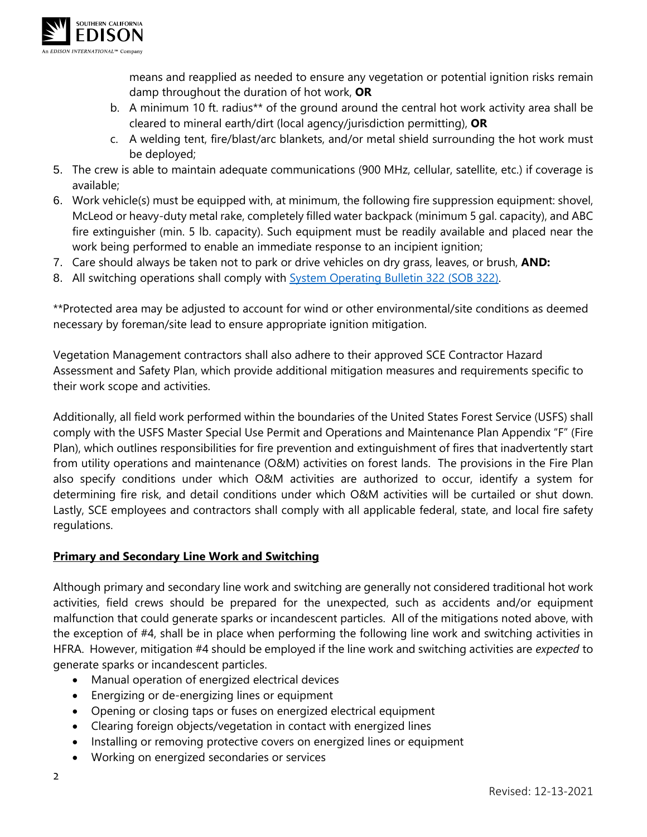

means and reapplied as needed to ensure any vegetation or potential ignition risks remain damp throughout the duration of hot work, **OR**

- b. A minimum 10 ft. radius\*\* of the ground around the central hot work activity area shall be cleared to mineral earth/dirt (local agency/jurisdiction permitting), **OR**
- c. A welding tent, fire/blast/arc blankets, and/or metal shield surrounding the hot work must be deployed;
- 5. The crew is able to maintain adequate communications (900 MHz, cellular, satellite, etc.) if coverage is available;
- 6. Work vehicle(s) must be equipped with, at minimum, the following fire suppression equipment: shovel, McLeod or heavy-duty metal rake, completely filled water backpack (minimum 5 gal. capacity), and ABC fire extinguisher (min. 5 lb. capacity). Such equipment must be readily available and placed near the work being performed to enable an immediate response to an incipient ignition;
- 7. Care should always be taken not to park or drive vehicles on dry grass, leaves, or brush, **AND:**
- 8. All switching operations shall comply with **System Operating Bulletin 322 (SOB 322)**.

\*\*Protected area may be adjusted to account for wind or other environmental/site conditions as deemed necessary by foreman/site lead to ensure appropriate ignition mitigation.

Vegetation Management contractors shall also adhere to their approved SCE Contractor Hazard Assessment and Safety Plan, which provide additional mitigation measures and requirements specific to their work scope and activities.

Additionally, all field work performed within the boundaries of the United States Forest Service (USFS) shall comply with the USFS Master Special Use Permit and Operations and Maintenance Plan Appendix "F" (Fire Plan), which outlines responsibilities for fire prevention and extinguishment of fires that inadvertently start from utility operations and maintenance (O&M) activities on forest lands. The provisions in the Fire Plan also specify conditions under which O&M activities are authorized to occur, identify a system for determining fire risk, and detail conditions under which O&M activities will be curtailed or shut down. Lastly, SCE employees and contractors shall comply with all applicable federal, state, and local fire safety regulations.

### **Primary and Secondary Line Work and Switching**

Although primary and secondary line work and switching are generally not considered traditional hot work activities, field crews should be prepared for the unexpected, such as accidents and/or equipment malfunction that could generate sparks or incandescent particles. All of the mitigations noted above, with the exception of #4, shall be in place when performing the following line work and switching activities in HFRA. However, mitigation #4 should be employed if the line work and switching activities are *expected* to generate sparks or incandescent particles.

- Manual operation of energized electrical devices
- Energizing or de-energizing lines or equipment
- Opening or closing taps or fuses on energized electrical equipment
- Clearing foreign objects/vegetation in contact with energized lines
- Installing or removing protective covers on energized lines or equipment
- Working on energized secondaries or services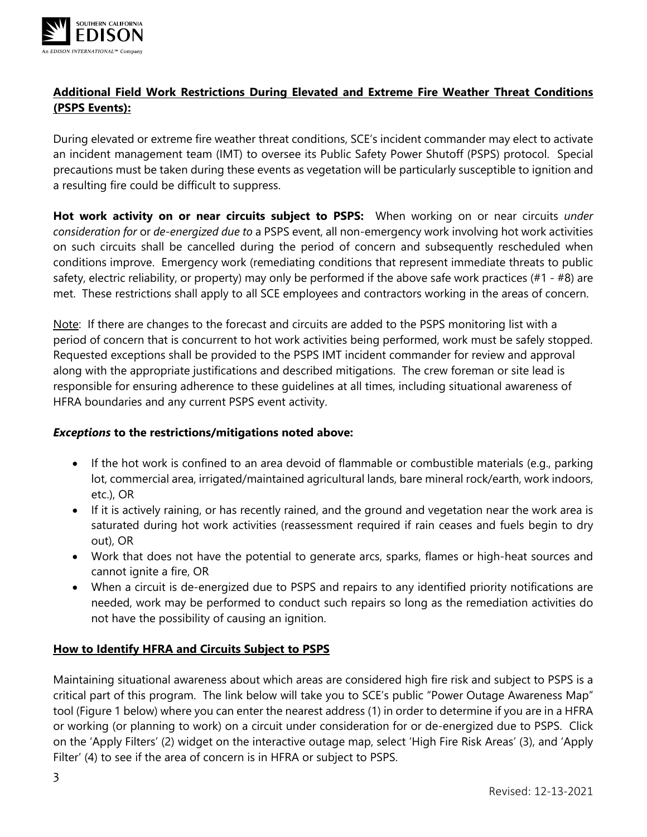

## **Additional Field Work Restrictions During Elevated and Extreme Fire Weather Threat Conditions (PSPS Events):**

During elevated or extreme fire weather threat conditions, SCE's incident commander may elect to activate an incident management team (IMT) to oversee its Public Safety Power Shutoff (PSPS) protocol. Special precautions must be taken during these events as vegetation will be particularly susceptible to ignition and a resulting fire could be difficult to suppress.

**Hot work activity on or near circuits subject to PSPS:** When working on or near circuits *under consideration for* or *de-energized due to* a PSPS event, all non-emergency work involving hot work activities on such circuits shall be cancelled during the period of concern and subsequently rescheduled when conditions improve. Emergency work (remediating conditions that represent immediate threats to public safety, electric reliability, or property) may only be performed if the above safe work practices (#1 - #8) are met. These restrictions shall apply to all SCE employees and contractors working in the areas of concern.

Note: If there are changes to the forecast and circuits are added to the PSPS monitoring list with a period of concern that is concurrent to hot work activities being performed, work must be safely stopped. Requested exceptions shall be provided to the PSPS IMT incident commander for review and approval along with the appropriate justifications and described mitigations. The crew foreman or site lead is responsible for ensuring adherence to these guidelines at all times, including situational awareness of HFRA boundaries and any current PSPS event activity.

### *Exceptions* **to the restrictions/mitigations noted above:**

- If the hot work is confined to an area devoid of flammable or combustible materials (e.g., parking lot, commercial area, irrigated/maintained agricultural lands, bare mineral rock/earth, work indoors, etc.), OR
- If it is actively raining, or has recently rained, and the ground and vegetation near the work area is saturated during hot work activities (reassessment required if rain ceases and fuels begin to dry out), OR
- Work that does not have the potential to generate arcs, sparks, flames or high-heat sources and cannot ignite a fire, OR
- When a circuit is de-energized due to PSPS and repairs to any identified priority notifications are needed, work may be performed to conduct such repairs so long as the remediation activities do not have the possibility of causing an ignition.

### **How to Identify HFRA and Circuits Subject to PSPS**

Maintaining situational awareness about which areas are considered high fire risk and subject to PSPS is a critical part of this program. The link below will take you to SCE's public "Power Outage Awareness Map" tool (Figure 1 below) where you can enter the nearest address (1) in order to determine if you are in a HFRA or working (or planning to work) on a circuit under consideration for or de-energized due to PSPS. Click on the 'Apply Filters' (2) widget on the interactive outage map, select 'High Fire Risk Areas' (3), and 'Apply Filter' (4) to see if the area of concern is in HFRA or subject to PSPS.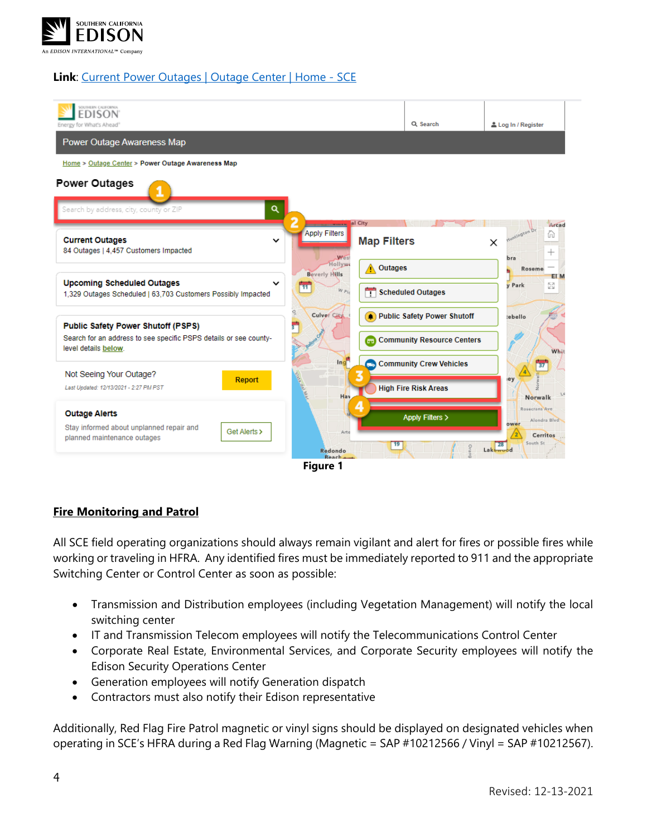

#### **Link**: [Current Power Outages | Outage Center | Home -](https://www.sce.com/outage-center/check-outage-status) SCE



#### **Fire Monitoring and Patrol**

All SCE field operating organizations should always remain vigilant and alert for fires or possible fires while working or traveling in HFRA. Any identified fires must be immediately reported to 911 and the appropriate Switching Center or Control Center as soon as possible:

- Transmission and Distribution employees (including Vegetation Management) will notify the local switching center
- IT and Transmission Telecom employees will notify the Telecommunications Control Center
- Corporate Real Estate, Environmental Services, and Corporate Security employees will notify the Edison Security Operations Center
- Generation employees will notify Generation dispatch
- Contractors must also notify their Edison representative

Additionally, Red Flag Fire Patrol magnetic or vinyl signs should be displayed on designated vehicles when operating in SCE's HFRA during a Red Flag Warning (Magnetic = SAP #10212566 / Vinyl = SAP #10212567).